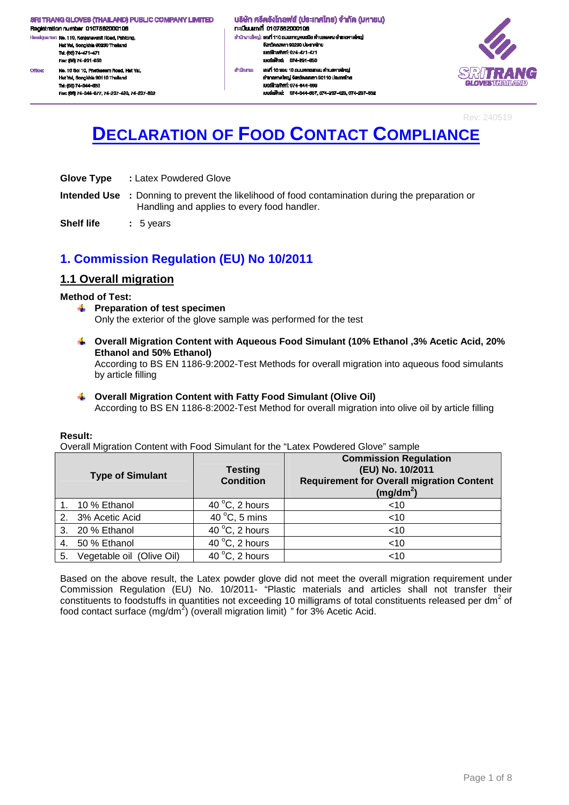Registration number 0107562000106 H. dquarter: No. 110, Kanjanavanit Road, Pahtong, Hat Yai, Songkhla 90230 Thailand Tel: (66) 74-471-471 Fex: (66) 74-291-650 No. 10 Soi 10, Phetkasern Road, Hat Yal, Office: Hat Yai, Songkhla 90110 Thaila Tel: (66) 74-344-663

Fec: (66) 74-344-677, 74-237-423, 74-237-632

้นธิษัท ศรีตรังโทลฟส์ (ประเทศไทย) จำกัด (มหาชน) กะเบียนเลงที่ 0107562000106 สำนักงานใหญ่: เสงที่ 110 ถนนกาญจนอนิช ด้านสพะดง อำเภอคาดใหญ่ งังหวัดสงพลา 90230 ประเทศไทย LINGTON MOTOR 074-471-471 เนอร์เฟิกล่ะ 074-201-650 ahūninu: เองที่ 10 ขอย 10 ถนนเพชรเกษม คำบลหาคใหญ่ อำเภอหาคใหญ่ จังหวัดสงขลา 90110 ประเทศไทย IUDS InsAwri: 074-344-003 และเพื่อน่ะ 074-344-667 074-237-423 074-237-832



Rev: 240519

# **DECLARATION OF FOOD CONTACT COMPLIANCE**

- **Glove Type :** Latex Powdered Glove
- **Intended Use :** Donning to prevent the likelihood of food contamination during the preparation or Handling and applies to every food handler.
- **Shelf life : 5 years**

## **1. Commission Regulation (EU) No 10/2011**

### **1.1 Overall migration**

#### **Method of Test:**

- **Figure 1** Preparation of test specimen Only the exterior of the glove sample was performed for the test
- **Overall Migration Content with Aqueous Food Simulant (10% Ethanol ,3% Acetic Acid, 20% Ethanol and 50% Ethanol)**

According to BS EN 1186-9:2002-Test Methods for overall migration into aqueous food simulants by article filling

#### **Overall Migration Content with Fatty Food Simulant (Olive Oil)**  According to BS EN 1186-8:2002-Test Method for overall migration into olive oil by article filling

#### **Result:**

Overall Migration Content with Food Simulant for the "Latex Powdered Glove" sample

|    | <b>Type of Simulant</b>   | <b>Testing</b><br><b>Condition</b> | <b>Commission Regulation</b><br>(EU) No. 10/2011<br><b>Requirement for Overall migration Content</b><br>$(mg/dm^2)$ |
|----|---------------------------|------------------------------------|---------------------------------------------------------------------------------------------------------------------|
|    | 10 % Ethanol              | 40 $\degree$ C, 2 hours            | ~10                                                                                                                 |
|    | 2. 3% Acetic Acid         | 40 $\degree$ C, 5 mins             | $<$ 10                                                                                                              |
|    | 3. 20 % Ethanol           | 40 $\degree$ C, 2 hours            | $<$ 10                                                                                                              |
|    | 4. 50 % Ethanol           | 40 $\degree$ C, 2 hours            | $<$ 10                                                                                                              |
| 5. | Vegetable oil (Olive Oil) | 40 $\degree$ C, 2 hours            | $<$ 10                                                                                                              |

Based on the above result, the Latex powder glove did not meet the overall migration requirement under Commission Regulation (EU) No. 10/2011- "Plastic materials and articles shall not transfer their constituents to foodstuffs in quantities not exceeding 10 milligrams of total constituents released per dm<sup>2</sup> of food contact surface (mg/dm<sup>2</sup>) (overall migration limit) " for 3% Acetic Acid.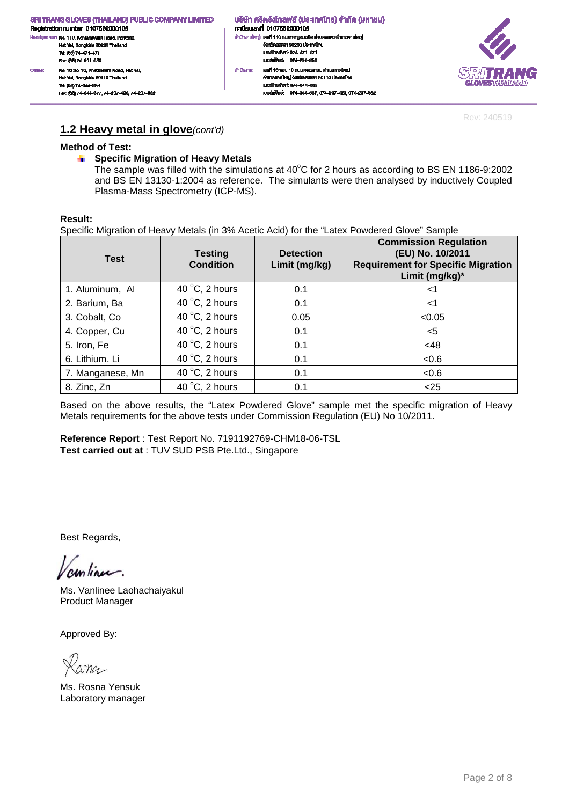#### ้นธิษัท ศรีตรังโทลฟส์ (ประเทศไทย) จำกัด (มหาชน) n: เมียนเลงที่ 0107562000106 สำนักงานใหญ่: เสงที่ 110 ถนนกาญจนอนิช ด้านสพะดง อำเภอคาดใหญ่ งังหวัดสงพลา 90230 ประเทศไทย<br>เบอร์โทรศัพท์: 074-471-471 เนอร์เฟิกล่ะ 074-201-650 ahūninu: เองที่ 10 ขอย 10 ถนนเพชรเกษม คำบลหาคใหญ่ อำเภอหาคใหญ่ จังหวัดสมุขยา 90110 ประเทศไทย IUDS TrishWrf: 074-344-003 เบอร์แพ็กซ์: 074-344-667, 074-237-423, 074-237-632



Rev: 240519

### **1.2 Heavy metal in glove**(cont'd)

#### **Method of Test:**

**Specific Migration of Heavy Metals**  4

The sample was filled with the simulations at  $40^{\circ}$ C for 2 hours as according to BS EN 1186-9:2002 and BS EN 13130-1:2004 as reference. The simulants were then analysed by inductively Coupled Plasma-Mass Spectrometry (ICP-MS).

#### **Result:**

Specific Migration of Heavy Metals (in 3% Acetic Acid) for the "Latex Powdered Glove" Sample

| <b>Test</b>      | <b>Testing</b><br><b>Condition</b> | <b>Detection</b><br>Limit (mg/kg) | <b>Commission Regulation</b><br>(EU) No. 10/2011<br><b>Requirement for Specific Migration</b><br>Limit (mg/kg)* |
|------------------|------------------------------------|-----------------------------------|-----------------------------------------------------------------------------------------------------------------|
| 1. Aluminum, Al  | 40 $\degree$ C, 2 hours            | 0.1                               | $<$ 1                                                                                                           |
| 2. Barium, Ba    | 40 $\degree$ C, 2 hours            | 0.1                               | <1                                                                                                              |
| 3. Cobalt, Co.   | 40 $\degree$ C, 2 hours            | 0.05                              | < 0.05                                                                                                          |
| 4. Copper, Cu    | 40 $\degree$ C, 2 hours            | 0.1                               | <5                                                                                                              |
| 5. Iron, Fe      | 40 $\degree$ C, 2 hours            | 0.1                               | <48                                                                                                             |
| 6. Lithium. Li   | 40 $\degree$ C, 2 hours            | 0.1                               | <0.6                                                                                                            |
| 7. Manganese, Mn | 40 $\degree$ C, 2 hours            | 0.1                               | <0.6                                                                                                            |
| 8. Zinc, Zn      | 40 $\degree$ C, 2 hours            | 0.1                               | < 25                                                                                                            |

Based on the above results, the "Latex Powdered Glove" sample met the specific migration of Heavy Metals requirements for the above tests under Commission Regulation (EU) No 10/2011.

**Reference Report** : Test Report No. 7191192769-CHM18-06-TSL **Test carried out at** : TUV SUD PSB Pte.Ltd., Singapore

Best Regards,

runlinu.

Ms. Vanlinee Laohachaiyakul Product Manager

Zosna

Ms. Rosna Yensuk Laboratory manager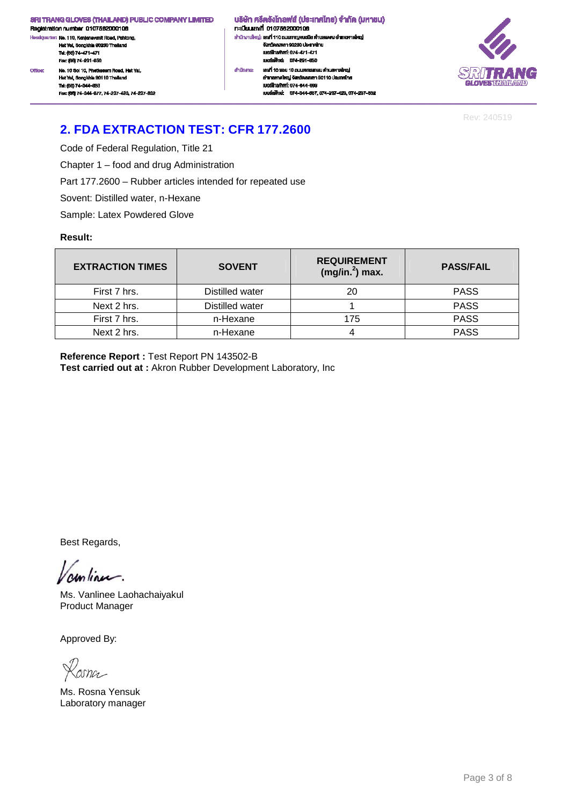Registration number 0107562000106 .<br>ciquarter: No. 110, Kanjanavanit Road, Pahtong, He Hat Yai, Songkhla 90230 Thailand<br>Tai: (66) 74-471-471 Fex: (66) 74-201-660 No. 10 Soi 10, Phetkasem Road, Hat Yal, Office Hat Yai, Songkhia 90110 Thailand

Tel: (66) 74-344-663 Fec: (66) 74-344-677, 74-237-423, 74-237-832 ้ บริษัท ศรีตรังโทลฟส์ (ประเทศไทย) จำกัด (มหาชน) n:iūsuiavī 0107562000106 สำนักงานใหญ่: เสงที่ 110 ถนนกาญจนวนิช พำบลพะตง อำเภอหาดใหญ่ งังหวัดสงหลา 90230 ประเทศไทย<br>เบอร์โทรศัพท์: 074-471-471 เมษร์แพ็กล่ะ 074-201-650 เลฟที่ 10 ซอย 10 ถนนเพชรเกษม ดำนลหาดใหญ่ ahūninu: อำเภอหาคใหญ่ จังหวัดสงขลา 90110 ประเทศไทย IUDS TrishWrf: 074-344-003

เบอร์แพ็กซ์: 074-344-667, 074-237-423, 074-237-632



Rev: 240519

## **2. FDA EXTRACTION TEST: CFR 177.2600**

Code of Federal Regulation, Title 21

Chapter 1 – food and drug Administration

Part 177.2600 – Rubber articles intended for repeated use

Sovent: Distilled water, n-Hexane

Sample: Latex Powdered Glove

#### **Result:**

| <b>EXTRACTION TIMES</b> | <b>SOVENT</b>   | <b>REQUIREMENT</b><br>$(mg/in.2)$ max. | <b>PASS/FAIL</b> |
|-------------------------|-----------------|----------------------------------------|------------------|
| First 7 hrs.            | Distilled water | 20                                     | <b>PASS</b>      |
| Next 2 hrs.             | Distilled water |                                        | <b>PASS</b>      |
| First 7 hrs.            | n-Hexane        | 175                                    | <b>PASS</b>      |
| Next 2 hrs.             | n-Hexane        |                                        | <b>PASS</b>      |

**Reference Report :** Test Report PN 143502-B **Test carried out at :** Akron Rubber Development Laboratory, Inc

Best Regards,

continue.

Ms. Vanlinee Laohachaiyakul Product Manager

,<br>coma

Ms. Rosna Yensuk Laboratory manager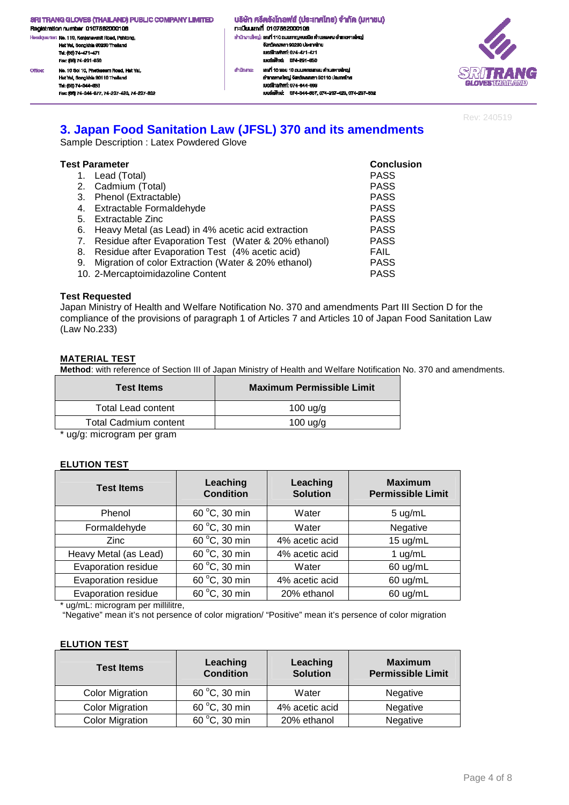Registration number 0107562000106 .<br>ciquarter: No. 110, Kanjanavanit Road, Pahtong, He Hat Yai, Songkhla 90230 Thailand Tel: (66) 74-471-471 Fex: (66) 74-291-650 No. 10 Soi 10, Phetkasern Road, Hat Yal, Office Hat Yai, Songkhia 90110 Thailand

Tel: (66) 74-344-663 Fec: (66) 74-344-677, 74-237-423, 74-237-832 ้ บริษัท ศรีครังโกลฟส์ (ประเทศไทย) จำกัด (มหาชน) n: เมียนเลงที่ 0107562000106 สำนักงานใหญ่: เสงที่ 110 ถนนกาญจนอนิช ด้านสพะดง อำเภอคาดใหญ่ งังหวัดสงหลา 90230 ประเทศไทย<br>เบอร์โทรศัพท์: 074-471-471 เมษร์แพ็กล่ะ 074-201-650 เลงที่ 10 ซอย 10 ถนนเพชรเกษม คำบลหาคใหญ่ ahūninu: อำเภอหาคใหญ่ จังหวัดสงขลา 90110 ประเทศไทย IUDS TrishWrf: 074-344-003 เนอร์เพ็กซ์: 074-344-667, 074-237-423, 074-237-632



Rev: 240519

### **3. Japan Food Sanitation Law (JFSL) 370 and its amendments**

Sample Description : Latex Powdered Glove

| <b>Test Parameter</b> | <b>Conclusion</b>                                       |             |
|-----------------------|---------------------------------------------------------|-------------|
|                       | 1. Lead (Total)                                         | <b>PASS</b> |
|                       | 2. Cadmium (Total)                                      | <b>PASS</b> |
|                       | 3. Phenol (Extractable)                                 | <b>PASS</b> |
|                       | 4. Extractable Formaldehyde                             | <b>PASS</b> |
|                       | 5. Extractable Zinc                                     | <b>PASS</b> |
|                       | 6. Heavy Metal (as Lead) in 4% acetic acid extraction   | <b>PASS</b> |
|                       | 7. Residue after Evaporation Test (Water & 20% ethanol) | <b>PASS</b> |
| 8.                    | Residue after Evaporation Test (4% acetic acid)         | <b>FAIL</b> |
|                       | 9. Migration of color Extraction (Water & 20% ethanol)  | <b>PASS</b> |
|                       | 10. 2-Mercaptoimidazoline Content                       | <b>PASS</b> |

#### **Test Requested**

Japan Ministry of Health and Welfare Notification No. 370 and amendments Part III Section D for the compliance of the provisions of paragraph 1 of Articles 7 and Articles 10 of Japan Food Sanitation Law (Law No.233)

#### **MATERIAL TEST**

**Method**: with reference of Section III of Japan Ministry of Health and Welfare Notification No. 370 and amendments.

| <b>Test Items</b>         | <b>Maximum Permissible Limit</b> |
|---------------------------|----------------------------------|
| <b>Total Lead content</b> | 100 uq/q                         |
| Total Cadmium content     | $100$ ug/g                       |
|                           |                                  |

\* ug/g: microgram per gram

#### **ELUTION TEST**

| <b>Test Items</b>     | Leaching<br><b>Condition</b> | Leaching<br><b>Solution</b> | <b>Maximum</b><br><b>Permissible Limit</b> |
|-----------------------|------------------------------|-----------------------------|--------------------------------------------|
| Phenol                | 60 °C, 30 min                | Water                       | 5 ug/mL                                    |
| Formaldehyde          | 60 °C, 30 min                | Water                       | Negative                                   |
| <b>Zinc</b>           | 60 °C, 30 min                | 4% acetic acid              | $15 \text{ ug/mL}$                         |
| Heavy Metal (as Lead) | 60 °C, 30 min                | 4% acetic acid              | 1 $ug/mL$                                  |
| Evaporation residue   | 60 °C, 30 min                | Water                       | 60 ug/mL                                   |
| Evaporation residue   | 60 °C, 30 min                | 4% acetic acid              | 60 ug/mL                                   |
| Evaporation residue   | 60 °C, 30 min                | 20% ethanol                 | 60 ug/mL                                   |

\* ug/mL: microgram per millilitre,

"Negative" mean it's not persence of color migration/ "Positive" mean it's persence of color migration

#### **ELUTION TEST**

| <b>Test Items</b>      | Leaching<br><b>Condition</b> | Leaching<br><b>Solution</b> | <b>Maximum</b><br><b>Permissible Limit</b> |
|------------------------|------------------------------|-----------------------------|--------------------------------------------|
| <b>Color Migration</b> | 60 °C, 30 min                | Water                       | Negative                                   |
| <b>Color Migration</b> | 60 °C, 30 min                | 4% acetic acid              | Negative                                   |
| <b>Color Migration</b> | 60 °C, 30 min                | 20% ethanol                 | Negative                                   |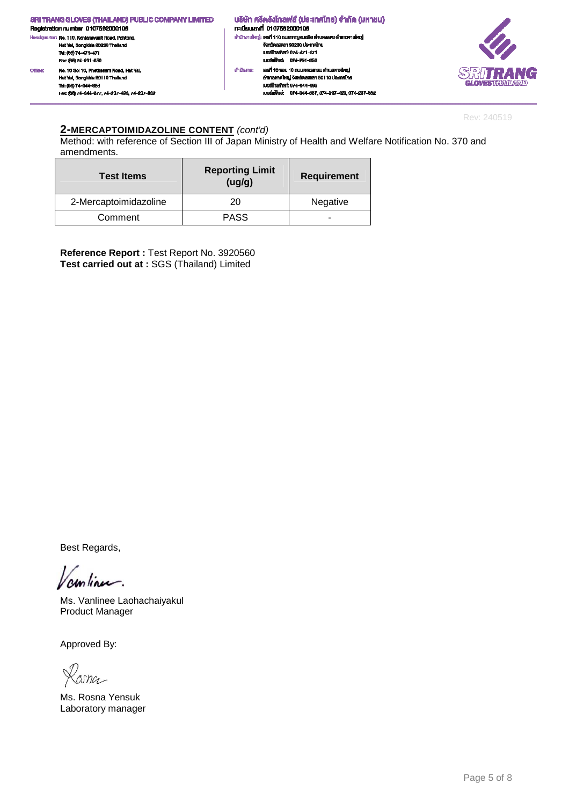|         | <b>SRI TRANG GLOVES (THAILAND) PUBLIC COMPANY LIMITED</b><br>Registration number 0107562000106                                                      |           | ้ บริษัท ศรีตรังโทลฟส์ (ประเทศไทย) จำกัด (มหาชน)<br>กะเมียนเลงที่ 0107562000106                                                                                        |                                    |
|---------|-----------------------------------------------------------------------------------------------------------------------------------------------------|-----------|------------------------------------------------------------------------------------------------------------------------------------------------------------------------|------------------------------------|
|         | Heedquarter: No. 110, Kanjanavanit Road, Pahtong,                                                                                                   |           | ่ สำนักงานใหญ่: เสงที่ 110 ถนนกาญจนอนิช คำบลพะคง อำเภอหาคใหญ่<br>จังหวัดสงหลา 90230 ประเทศไทย                                                                          |                                    |
|         | Hat Yai, Songkhla 90230 Thailand<br>Tel: (66) 74-471-471<br>Fex: (66) 74-291-650                                                                    |           | IUDŠÍNSPNYT: 074-471-471<br>เนอร์เฟ้าเร่: 074-291-650                                                                                                                  |                                    |
| Office: | No. 10 Soi 10, Photkasem Road, Hat Yal.<br>Hat Yai, Songkhla 90110 Thailand<br>Tel: (66) 74-344-663<br>Fec: (66) 74-344-677, 74-237-423, 74-237-832 | สำนักงาน: | เองที่ 10 ซอย 10 ณนเพชรทษม คำบลหาคใหญ่<br>อำเภอหาคใหญ่ จังหวัดสงขอา 90110 ประเทศไทย<br>IUDS Inselwri: 074-344-883<br>IUDSINVITRE 074-344-667, 074-237-423, 074-237-632 | SRITRAN<br><b>GLOVES THAN LAWD</b> |

Rev: 240519

M

#### **2-MERCAPTOIMIDAZOLINE CONTENT** (cont'd)

Method: with reference of Section III of Japan Ministry of Health and Welfare Notification No. 370 and amendments.

| <b>Test Items</b>     | <b>Reporting Limit</b><br>(ug/g) | <b>Requirement</b> |
|-----------------------|----------------------------------|--------------------|
| 2-Mercaptoimidazoline | 20                               | Negative           |
| Comment               | <b>PASS</b>                      |                    |

**Reference Report :** Test Report No. 3920560 **Test carried out at :** SGS (Thailand) Limited

Best Regards,

amlinu.

Ms. Vanlinee Laohachaiyakul Product Manager

Kosna

Ms. Rosna Yensuk Laboratory manager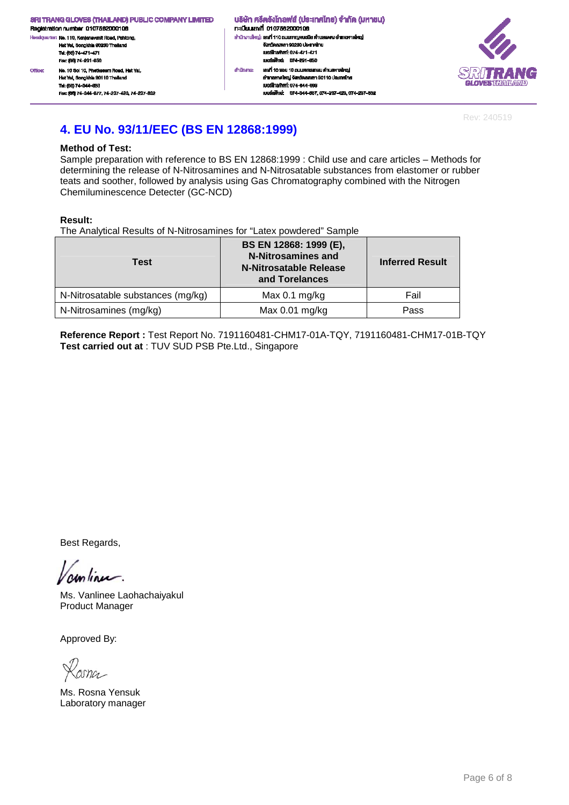.<br>dquarter: No. 110, Kanjanavanit Road, Pahtong, H. Hat Yai, Songkhla 90230 Thailand Tel: (66) 74-471-471 Fex: (66) 74-291-650 No. 10 Soi 10, Phetkasern Road, Hat Yal, Office: Hat Yai, Songkhia 90110 Thailar .<br>Ki Tel: (66) 74-344-663

Fec: (66) 74-344-677, 74-237-423, 74-237-832

#### ้นธิษัท ศรีตรังโทลฟส์ (ประเทศไทย) จำกัด (มหาชน) n: เมียนเลงที่ 0107562000106 สำนักงานใหญ่: เสงที่ 110 ถนนกาญจนอนิช ด้านสพะดง อำเภอคาดใหญ่ งังหวัดสงพลา 90230 ประเทศไทย<br>เบอร์โทรศัพท์: 074-471-471 เนอร์เฟิกซ์: 074-291-650 เลฟที่ 10 ซอย 10 ถนนเพชรเกษม ดำนลหาดใหญ่ ahūninu: อำเภอหาคใหญ่ จังหวัดสมุขยา 90110 ประเทศไทย IUDS TrishWrf: 074-344-003 เบอร์แพ็กซ์: 074-344-667, 074-237-423, 074-237-632



Rev: 240519

## **4. EU No. 93/11/EEC (BS EN 12868:1999)**

#### **Method of Test:**

Sample preparation with reference to BS EN 12868:1999 : Child use and care articles – Methods for determining the release of N-Nitrosamines and N-Nitrosatable substances from elastomer or rubber teats and soother, followed by analysis using Gas Chromatography combined with the Nitrogen Chemiluminescence Detecter (GC-NCD)

#### **Result:**

The Analytical Results of N-Nitrosamines for "Latex powdered" Sample

| <b>Test</b>                       | BS EN 12868: 1999 (E),<br><b>N-Nitrosamines and</b><br>N-Nitrosatable Release<br>and Torelances | <b>Inferred Result</b> |
|-----------------------------------|-------------------------------------------------------------------------------------------------|------------------------|
| N-Nitrosatable substances (mg/kg) | Max $0.1$ mg/kg                                                                                 | Fail                   |
| N-Nitrosamines (mg/kg)            | Max $0.01$ mg/kg                                                                                | Pass                   |

**Reference Report :** Test Report No. 7191160481-CHM17-01A-TQY, 7191160481-CHM17-01B-TQY **Test carried out at** : TUV SUD PSB Pte.Ltd., Singapore

Best Regards,

unlinu.

Ms. Vanlinee Laohachaiyakul Product Manager

Ms. Rosna Yensuk Laboratory manager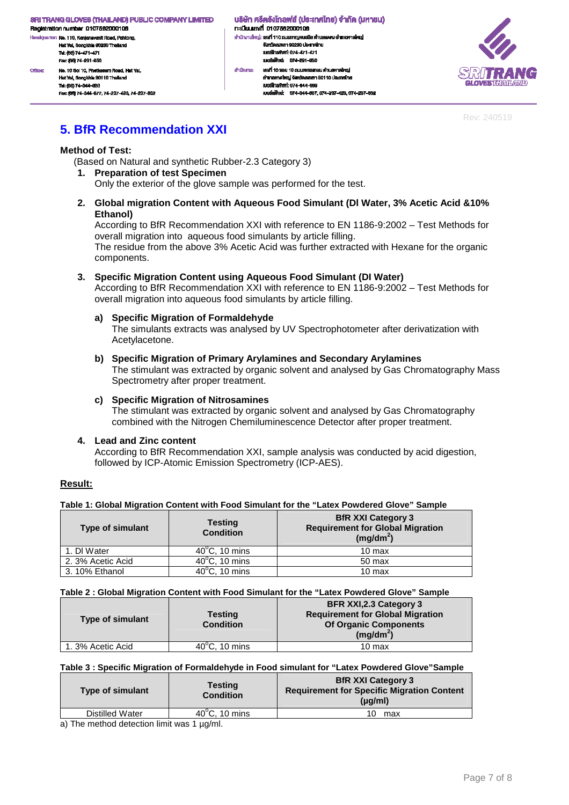Registration number 0107562000106 H. dquarter: No. 110, Kanjanavanit Road, Pahtong, Hat Yai, Songkhla 90230 Thailand Tel: (66) 74-471-471 Fex: (66) 74-291-650 No. 10 Soi 10, Phetkasern Road, Hat Yal, Office: Hat Yai, Songkhla 90110 Thaila

Tel: (66) 74-344-663 Fex: (66) 74-344-677, 74-237-423, 74-237-632

้นธิษัท ศรีตรังโทลฟส์ (ประเทศไทย) จำกัด (มหาชน) n:iūsuiavn 0107562000106 สำนักงานใหญ่: เสงที่ 110 ถนนกาญจนอนิช ด้านสพะดง อำเภอคาดใหญ่ จังหวัดสงพลา 90230 ประเทศไทย LINGTON MOTOR 074-471-471 เนอร์เฟิกล่ะ 074-201-650 สำนักงาน: เลงที่ 10 ซอย 10 ถนนเพชรทาษม ดำนลหาดใหญ่ อำเภอหาคใหญ่ จังหวัดสงขลา 90110 ประเทศไทย IUDS TrishWrf: 074-344-003

และเพื่อน่ะ 074-344-667 074-237-423 074-237-832



Rev: 240519

# **5. BfR Recommendation XXI**

#### **Method of Test:**

(Based on Natural and synthetic Rubber-2.3 Category 3)

#### **1. Preparation of test Specimen**

Only the exterior of the glove sample was performed for the test.

**2. Global migration Content with Aqueous Food Simulant (Dl Water, 3% Acetic Acid &10% Ethanol)** 

According to BfR Recommendation XXI with reference to EN 1186-9:2002 – Test Methods for overall migration into aqueous food simulants by article filling.

The residue from the above 3% Acetic Acid was further extracted with Hexane for the organic components.

#### **3. Specific Migration Content using Aqueous Food Simulant (DI Water)**

According to BfR Recommendation XXI with reference to EN 1186-9:2002 – Test Methods for overall migration into aqueous food simulants by article filling.

#### **a) Specific Migration of Formaldehyde**

The simulants extracts was analysed by UV Spectrophotometer after derivatization with Acetylacetone.

#### **b) Specific Migration of Primary Arylamines and Secondary Arylamines**

The stimulant was extracted by organic solvent and analysed by Gas Chromatography Mass Spectrometry after proper treatment.

#### **c) Specific Migration of Nitrosamines**

The stimulant was extracted by organic solvent and analysed by Gas Chromatography combined with the Nitrogen Chemiluminescence Detector after proper treatment.

#### **4. Lead and Zinc content**

According to BfR Recommendation XXI, sample analysis was conducted by acid digestion, followed by ICP-Atomic Emission Spectrometry (ICP-AES).

#### **Result:**

**Table 1: Global Migration Content with Food Simulant for the "Latex Powdered Glove" Sample** 

| <b>Type of simulant</b> | <b>Testing</b><br><b>Condition</b> | <b>BfR XXI Category 3</b><br><b>Requirement for Global Migration</b><br>$(mg/dm^2)$ |  |
|-------------------------|------------------------------------|-------------------------------------------------------------------------------------|--|
| 1. DI Water             | $40^{\circ}$ C, 10 mins            | $10 \text{ max}$                                                                    |  |
| 2. 3% Acetic Acid       | $40^{\circ}$ C, 10 mins            | 50 max                                                                              |  |
| 3.10% Ethanol           | $\overline{40^{\circ}C}$ , 10 mins | 10 max                                                                              |  |

#### **Table 2 : Global Migration Content with Food Simulant for the "Latex Powdered Glove" Sample**

| <b>Type of simulant</b> | <b>Testing</b><br><b>Condition</b> | <b>BFR XXI, 2.3 Category 3</b><br><b>Requirement for Global Migration</b><br><b>Of Organic Components</b><br>$(mg/dm^2)$ |
|-------------------------|------------------------------------|--------------------------------------------------------------------------------------------------------------------------|
| 1. 3% Acetic Acid       | $40^{\circ}$ C, 10 mins            | 10 max                                                                                                                   |

#### **Table 3 : Specific Migration of Formaldehyde in Food simulant for "Latex Powdered Glove"Sample**

| <b>Type of simulant</b> | <b>Testing</b><br><b>Condition</b> | <b>BfR XXI Category 3</b><br><b>Requirement for Specific Migration Content</b><br>$(\mu q/m)$ |
|-------------------------|------------------------------------|-----------------------------------------------------------------------------------------------|
| Distilled Water         | $40^{\circ}$ C, 10 mins            | max<br>10.                                                                                    |

a) The method detection limit was 1  $\mu$ g/ml.